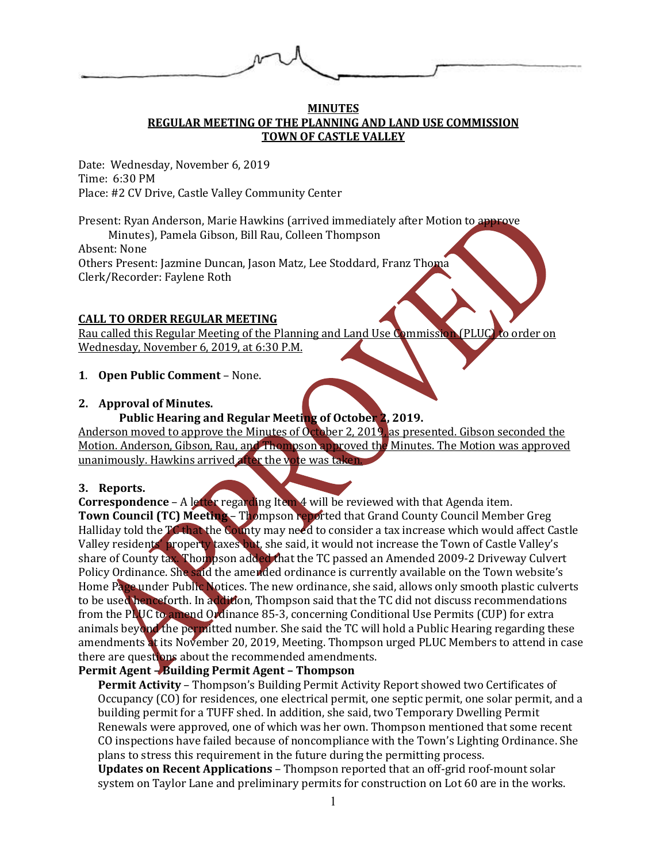#### **MINUTES REGULAR MEETING OF THE PLANNING AND LAND USE COMMISSION TOWN OF CASTLE VALLEY**

Date: Wednesday, November 6, 2019 Time: 6:30 PM Place: #2 CV Drive, Castle Valley Community Center

Present: Ryan Anderson, Marie Hawkins (arrived immediately after Motion to approve

 Minutes), Pamela Gibson, Bill Rau, Colleen Thompson Absent: None Others Present: Jazmine Duncan, Jason Matz, Lee Stoddard, Franz Thoma Clerk/Recorder: Faylene Roth

## **CALL TO ORDER REGULAR MEETING**

Rau called this Regular Meeting of the Planning and Land Use Commission (PLUC) to order on Wednesday, November 6, 2019, at 6:30 P.M.

## **1**. **Open Public Comment** – None.

# **2. Approval of Minutes.**

## **Public Hearing and Regular Meeting of October 2, 2019.**

Anderson moved to approve the Minutes of October 2, 2019, as presented. Gibson seconded the Motion. Anderson, Gibson, Rau, and Thompson approved the Minutes. The Motion was approved unanimously. Hawkins arrived after the vote was taken.

## **3. Reports.**

**Correspondence** – A letter regarding Item 4 will be reviewed with that Agenda item. **Town Council (TC) Meeting** – Thompson reported that Grand County Council Member Greg Halliday told the TC that the County may need to consider a tax increase which would affect Castle Valley residents' property taxes but, she said, it would not increase the Town of Castle Valley's share of County tax. Thompson added that the TC passed an Amended 2009-2 Driveway Culvert Policy Ordinance. She said the amended ordinance is currently available on the Town website's Home Page under Public Notices. The new ordinance, she said, allows only smooth plastic culverts to be used henceforth. In addition, Thompson said that the TC did not discuss recommendations from the PLUC to amend Ordinance 85-3, concerning Conditional Use Permits (CUP) for extra animals beyond the permitted number. She said the TC will hold a Public Hearing regarding these amendments at its November 20, 2019, Meeting. Thompson urged PLUC Members to attend in case there are questions about the recommended amendments.

## **Permit Agent – Building Permit Agent – Thompson**

**Permit Activity** – Thompson's Building Permit Activity Report showed two Certificates of Occupancy (CO) for residences, one electrical permit, one septic permit, one solar permit, and a building permit for a TUFF shed. In addition, she said, two Temporary Dwelling Permit Renewals were approved, one of which was her own. Thompson mentioned that some recent CO inspections have failed because of noncompliance with the Town's Lighting Ordinance. She plans to stress this requirement in the future during the permitting process.

**Updates on Recent Applications** – Thompson reported that an off-grid roof-mount solar system on Taylor Lane and preliminary permits for construction on Lot 60 are in the works.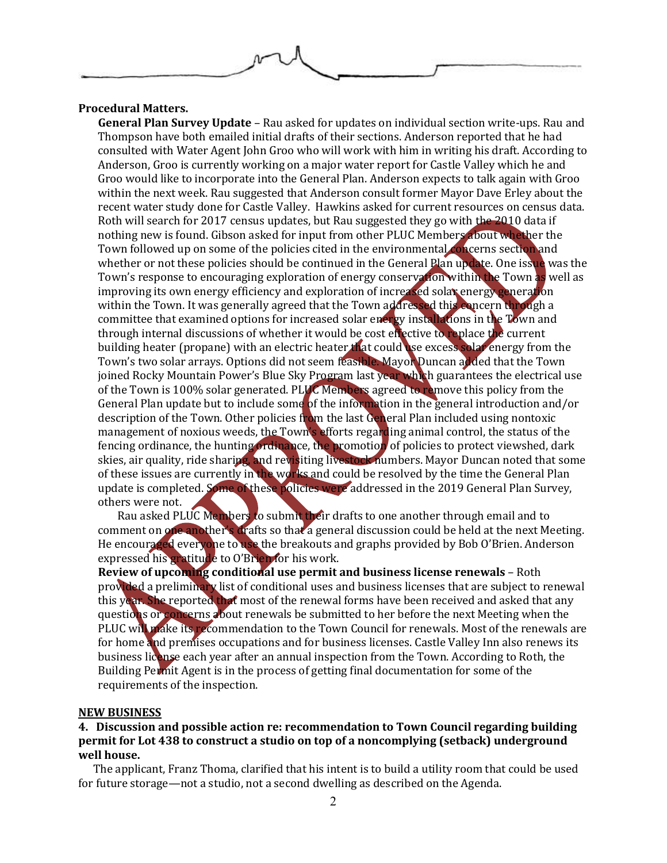

### **Procedural Matters.**

**General Plan Survey Update** – Rau asked for updates on individual section write-ups. Rau and Thompson have both emailed initial drafts of their sections. Anderson reported that he had consulted with Water Agent John Groo who will work with him in writing his draft. According to Anderson, Groo is currently working on a major water report for Castle Valley which he and Groo would like to incorporate into the General Plan. Anderson expects to talk again with Groo within the next week. Rau suggested that Anderson consult former Mayor Dave Erley about the recent water study done for Castle Valley. Hawkins asked for current resources on census data. Roth will search for 2017 census updates, but Rau suggested they go with the 2010 data if nothing new is found. Gibson asked for input from other PLUC Members about whether the Town followed up on some of the policies cited in the environmental concerns section and whether or not these policies should be continued in the General Plan update. One issue was the Town's response to encouraging exploration of energy conservation within the Town as well as improving its own energy efficiency and exploration of increased solar energy generation within the Town. It was generally agreed that the Town addressed this concern through a committee that examined options for increased solar energy installations in the Town and through internal discussions of whether it would be cost effective to replace the current building heater (propane) with an electric heater that could use excess solar energy from the Town's two solar arrays. Options did not seem feasible. Mayor Duncan added that the Town joined Rocky Mountain Power's Blue Sky Program last year which guarantees the electrical use of the Town is 100% solar generated. PLUC Members agreed to remove this policy from the General Plan update but to include some of the information in the general introduction and/or description of the Town. Other policies from the last General Plan included using nontoxic management of noxious weeds, the Town's efforts regarding animal control, the status of the fencing ordinance, the hunting ordinance, the promotion of policies to protect viewshed, dark skies, air quality, ride sharing, and revisiting livestock numbers. Mayor Duncan noted that some of these issues are currently in the works and could be resolved by the time the General Plan update is completed. Some of these policies were addressed in the 2019 General Plan Survey, others were not.

Rau asked PLUC Members to submit their drafts to one another through email and to comment on one another's drafts so that a general discussion could be held at the next Meeting. He encouraged everyone to use the breakouts and graphs provided by Bob O'Brien. Anderson expressed his gratitude to O'Brien for his work.

**Review of upcoming conditional use permit and business license renewals** – Roth provided a preliminary list of conditional uses and business licenses that are subject to renewal this year. She reported that most of the renewal forms have been received and asked that any questions or concerns about renewals be submitted to her before the next Meeting when the PLUC will make its recommendation to the Town Council for renewals. Most of the renewals are for home and premises occupations and for business licenses. Castle Valley Inn also renews its business license each year after an annual inspection from the Town. According to Roth, the Building Permit Agent is in the process of getting final documentation for some of the requirements of the inspection.

#### **NEW BUSINESS**

### **4. Discussion and possible action re: recommendation to Town Council regarding building permit for Lot 438 to construct a studio on top of a noncomplying (setback) underground well house.**

The applicant, Franz Thoma, clarified that his intent is to build a utility room that could be used for future storage—not a studio, not a second dwelling as described on the Agenda.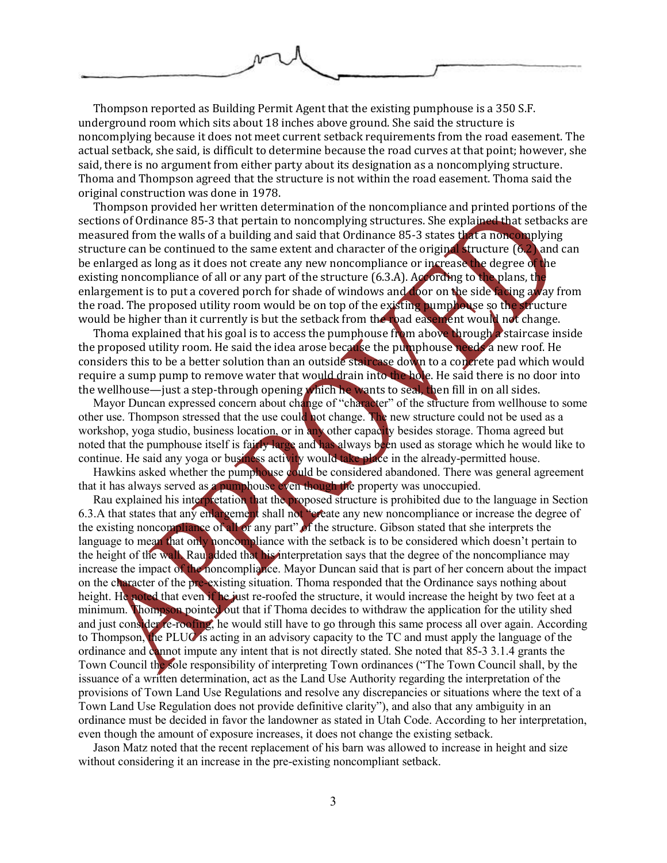

Thompson reported as Building Permit Agent that the existing pumphouse is a 350 S.F. underground room which sits about 18 inches above ground. She said the structure is noncomplying because it does not meet current setback requirements from the road easement. The actual setback, she said, is difficult to determine because the road curves at that point; however, she said, there is no argument from either party about its designation as a noncomplying structure. Thoma and Thompson agreed that the structure is not within the road easement. Thoma said the original construction was done in 1978.

Thompson provided her written determination of the noncompliance and printed portions of the sections of Ordinance 85-3 that pertain to noncomplying structures. She explained that setbacks are measured from the walls of a building and said that Ordinance 85-3 states that a noncomplying structure can be continued to the same extent and character of the original structure (6.2) and can be enlarged as long as it does not create any new noncompliance or increase the degree of the existing noncompliance of all or any part of the structure (6.3.A). According to the plans, the enlargement is to put a covered porch for shade of windows and door on the side facing away from the road. The proposed utility room would be on top of the existing pumphouse so the structure would be higher than it currently is but the setback from the road easement would not change.

Thoma explained that his goal is to access the pumphouse from above through a staircase inside the proposed utility room. He said the idea arose because the pumphouse needs a new roof. He considers this to be a better solution than an outside staircase down to a concrete pad which would require a sump pump to remove water that would drain into the hole. He said there is no door into the wellhouse—just a step-through opening which he wants to seal, then fill in on all sides.

Mayor Duncan expressed concern about change of "character" of the structure from wellhouse to some other use. Thompson stressed that the use could not change. The new structure could not be used as a workshop, yoga studio, business location, or in any other capacity besides storage. Thoma agreed but noted that the pumphouse itself is fairly large and has always been used as storage which he would like to continue. He said any yoga or business activity would take place in the already-permitted house.

Hawkins asked whether the pumphouse  $\frac{1}{2}$  ould be considered abandoned. There was general agreement that it has always served as a pumphouse even though the property was unoccupied.

Rau explained his interpretation that the proposed structure is prohibited due to the language in Section 6.3.A that states that any enlargement shall not "create any new noncompliance or increase the degree of the existing noncompliance of all or any part" of the structure. Gibson stated that she interprets the language to mean that only noncompliance with the setback is to be considered which doesn't pertain to the height of the wall. Rau added that his interpretation says that the degree of the noncompliance may increase the impact of the noncompliance. Mayor Duncan said that is part of her concern about the impact on the character of the pre-existing situation. Thoma responded that the Ordinance says nothing about height. He noted that even if he just re-roofed the structure, it would increase the height by two feet at a minimum. Thompson pointed out that if Thoma decides to withdraw the application for the utility shed and just consider re-roofing, he would still have to go through this same process all over again. According to Thompson, the PLUC is acting in an advisory capacity to the TC and must apply the language of the ordinance and cannot impute any intent that is not directly stated. She noted that 85-3 3.1.4 grants the Town Council the sole responsibility of interpreting Town ordinances ("The Town Council shall, by the issuance of a written determination, act as the Land Use Authority regarding the interpretation of the provisions of Town Land Use Regulations and resolve any discrepancies or situations where the text of a Town Land Use Regulation does not provide definitive clarity"), and also that any ambiguity in an ordinance must be decided in favor the landowner as stated in Utah Code. According to her interpretation, even though the amount of exposure increases, it does not change the existing setback.

Jason Matz noted that the recent replacement of his barn was allowed to increase in height and size without considering it an increase in the pre-existing noncompliant setback.